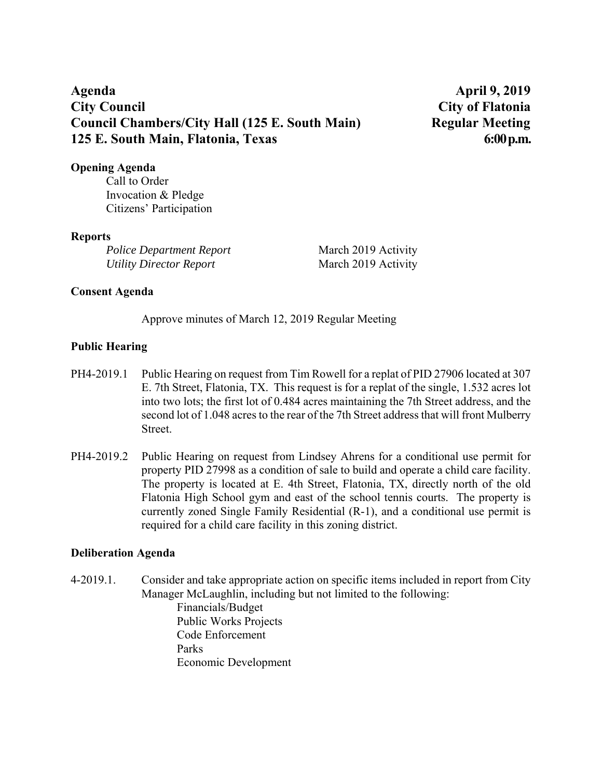# **Agenda April 9, 2019 City Council City of Flatonia Council Chambers/City Hall (125 E. South Main) Regular Meeting 125 E. South Main, Flatonia, Texas 6:00 p.m.**

### **Opening Agenda**

Call to Order Invocation & Pledge Citizens' Participation

### **Reports**

*Police Department Report* March 2019 Activity *Utility Director Report* March 2019 Activity

# **Consent Agenda**

Approve minutes of March 12, 2019 Regular Meeting

# **Public Hearing**

- PH4-2019.1 Public Hearing on request from Tim Rowell for a replat of PID 27906 located at 307 E. 7th Street, Flatonia, TX. This request is for a replat of the single, 1.532 acres lot into two lots; the first lot of 0.484 acres maintaining the 7th Street address, and the second lot of 1.048 acres to the rear of the 7th Street address that will front Mulberry Street.
- PH4-2019.2 Public Hearing on request from Lindsey Ahrens for a conditional use permit for property PID 27998 as a condition of sale to build and operate a child care facility. The property is located at E. 4th Street, Flatonia, TX, directly north of the old Flatonia High School gym and east of the school tennis courts. The property is currently zoned Single Family Residential (R-1), and a conditional use permit is required for a child care facility in this zoning district.

### **Deliberation Agenda**

4-2019.1. Consider and take appropriate action on specific items included in report from City Manager McLaughlin, including but not limited to the following:

Financials/Budget Public Works Projects Code Enforcement Parks Economic Development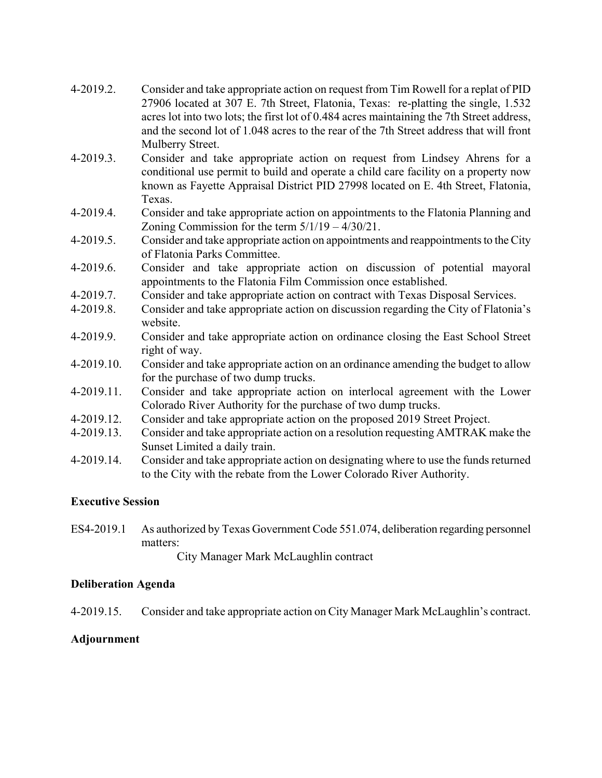| 4-2019.2.  | Consider and take appropriate action on request from Tim Rowell for a replat of PID<br>27906 located at 307 E. 7th Street, Flatonia, Texas: re-platting the single, 1.532<br>acres lot into two lots; the first lot of 0.484 acres maintaining the 7th Street address,<br>and the second lot of 1.048 acres to the rear of the 7th Street address that will front |
|------------|-------------------------------------------------------------------------------------------------------------------------------------------------------------------------------------------------------------------------------------------------------------------------------------------------------------------------------------------------------------------|
|            | Mulberry Street.                                                                                                                                                                                                                                                                                                                                                  |
| 4-2019.3.  | Consider and take appropriate action on request from Lindsey Ahrens for a                                                                                                                                                                                                                                                                                         |
|            | conditional use permit to build and operate a child care facility on a property now                                                                                                                                                                                                                                                                               |
|            | known as Fayette Appraisal District PID 27998 located on E. 4th Street, Flatonia,                                                                                                                                                                                                                                                                                 |
|            | Texas.                                                                                                                                                                                                                                                                                                                                                            |
| 4-2019.4.  | Consider and take appropriate action on appointments to the Flatonia Planning and                                                                                                                                                                                                                                                                                 |
|            | Zoning Commission for the term $5/1/19 - 4/30/21$ .                                                                                                                                                                                                                                                                                                               |
| 4-2019.5.  | Consider and take appropriate action on appointments and reappointments to the City                                                                                                                                                                                                                                                                               |
|            | of Flatonia Parks Committee.                                                                                                                                                                                                                                                                                                                                      |
| 4-2019.6.  | Consider and take appropriate action on discussion of potential mayoral<br>appointments to the Flatonia Film Commission once established.                                                                                                                                                                                                                         |
| 4-2019.7.  |                                                                                                                                                                                                                                                                                                                                                                   |
| 4-2019.8.  | Consider and take appropriate action on contract with Texas Disposal Services.                                                                                                                                                                                                                                                                                    |
|            | Consider and take appropriate action on discussion regarding the City of Flatonia's<br>website.                                                                                                                                                                                                                                                                   |
| 4-2019.9.  | Consider and take appropriate action on ordinance closing the East School Street                                                                                                                                                                                                                                                                                  |
|            | right of way.                                                                                                                                                                                                                                                                                                                                                     |
| 4-2019.10. | Consider and take appropriate action on an ordinance amending the budget to allow                                                                                                                                                                                                                                                                                 |
|            | for the purchase of two dump trucks.                                                                                                                                                                                                                                                                                                                              |
| 4-2019.11. | Consider and take appropriate action on interlocal agreement with the Lower                                                                                                                                                                                                                                                                                       |
|            | Colorado River Authority for the purchase of two dump trucks.                                                                                                                                                                                                                                                                                                     |
| 4-2019.12. | Consider and take appropriate action on the proposed 2019 Street Project.                                                                                                                                                                                                                                                                                         |
| 4-2019.13. | Consider and take appropriate action on a resolution requesting AMTRAK make the<br>Sunset Limited a daily train.                                                                                                                                                                                                                                                  |
| 1.201011   | $\ddot{ }$ , and $\ddot{ }$ , and $\ddot{ }$ , and $\ddot{ }$ , and $\ddot{ }$ , and $\ddot{ }$ , and $\ddot{ }$ , and $\ddot{ }$ , and $\ddot{ }$ , and $\ddot{ }$ , and $\ddot{ }$ , and $\ddot{ }$ , and $\ddot{ }$ , and $\ddot{ }$ , and $\ddot{ }$ , and $\ddot{ }$ , a                                                                                     |

4-2019.14. Consider and take appropriate action on designating where to use the funds returned to the City with the rebate from the Lower Colorado River Authority.

# **Executive Session**

ES4-2019.1 As authorized by Texas Government Code 551.074, deliberation regarding personnel matters:

City Manager Mark McLaughlin contract

# **Deliberation Agenda**

4-2019.15. Consider and take appropriate action on City Manager Mark McLaughlin's contract.

# **Adjournment**